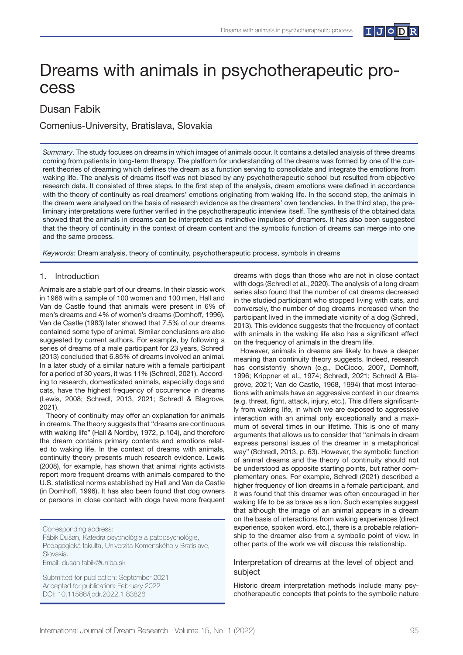

# Dreams with animals in psychotherapeutic process

# Dusan Fabik

Comenius-University, Bratislava, Slovakia

*Summary*. The study focuses on dreams in which images of animals occur. It contains a detailed analysis of three dreams coming from patients in long-term therapy. The platform for understanding of the dreams was formed by one of the current theories of dreaming which defines the dream as a function serving to consolidate and integrate the emotions from waking life. The analysis of dreams itself was not biased by any psychotherapeutic school but resulted from objective research data. It consisted of three steps. In the first step of the analysis, dream emotions were defined in accordance with the theory of continuity as real dreamers' emotions originating from waking life. In the second step, the animals in the dream were analysed on the basis of research evidence as the dreamers' own tendencies. In the third step, the preliminary interpretations were further verified in the psychotherapeutic interview itself. The synthesis of the obtained data showed that the animals in dreams can be interpreted as instinctive impulses of dreamers. It has also been suggested that the theory of continuity in the context of dream content and the symbolic function of dreams can merge into one and the same process.

*Keywords:* Dream analysis, theory of continuity, psychotherapeutic process, symbols in dreams

## 1. Introduction

Animals are a stable part of our dreams. In their classic work in 1966 with a sample of 100 women and 100 men, Hall and Van de Castle found that animals were present in 6% of men's dreams and 4% of women's dreams (Domhoff, 1996). Van de Castle (1983) later showed that 7.5% of our dreams contained some type of animal. Similar conclusions are also suggested by current authors. For example, by following a series of dreams of a male participant for 23 years, Schredl (2013) concluded that 6.85% of dreams involved an animal. In a later study of a similar nature with a female participant for a period of 30 years, it was 11% (Schredl, 2021). According to research, domesticated animals, especially dogs and cats, have the highest frequency of occurrence in dreams (Lewis, 2008; Schredl, 2013, 2021; Schredl & Blagrove, 2021).

Theory of continuity may offer an explanation for animals in dreams. The theory suggests that "dreams are continuous with waking life" (Hall & Nordby, 1972, p.104), and therefore the dream contains primary contents and emotions related to waking life. In the context of dreams with animals, continuity theory presents much research evidence. Lewis (2008), for example, has shown that animal rights activists report more frequent dreams with animals compared to the U.S. statistical norms established by Hall and Van de Castle (in Domhoff, 1996). It has also been found that dog owners or persons in close contact with dogs have more frequent

Corresponding address:

Fábik Dušan, Katedra psychológie a patopsychológie, Pedagogická fakulta, Univerzita Komenského v Bratislave, Slovakia.

Email: dusan.fabik@uniba.sk

Submitted for publication: September 2021 Accepted for publication: February 2022 DOI: 10.11588/ijodr.2022.1.83826

dreams with dogs than those who are not in close contact with dogs (Schredl et al., 2020). The analysis of a long dream series also found that the number of cat dreams decreased in the studied participant who stopped living with cats, and conversely, the number of dog dreams increased when the participant lived in the immediate vicinity of a dog (Schredl, 2013). This evidence suggests that the frequency of contact with animals in the waking life also has a significant effect on the frequency of animals in the dream life.

However, animals in dreams are likely to have a deeper meaning than continuity theory suggests. Indeed, research has consistently shown (e.g., DeCicco, 2007, Domhoff, 1996; Krippner et al., 1974; Schredl, 2021; Schredl & Blagrove, 2021; Van de Castle, 1968, 1994) that most interactions with animals have an aggressive context in our dreams (e.g. threat, fight, attack, injury, etc.). This differs significantly from waking life, in which we are exposed to aggressive interaction with an animal only exceptionally and a maximum of several times in our lifetime. This is one of many arguments that allows us to consider that "animals in dream express personal issues of the dreamer in a metaphorical way" (Schredl, 2013, p. 63). However, the symbolic function of animal dreams and the theory of continuity should not be understood as opposite starting points, but rather complementary ones. For example, Schredl (2021) described a higher frequency of lion dreams in a female participant, and it was found that this dreamer was often encouraged in her waking life to be as brave as a lion. Such examples suggest that although the image of an animal appears in a dream on the basis of interactions from waking experiences (direct experience, spoken word, etc.), there is a probable relationship to the dreamer also from a symbolic point of view. In other parts of the work we will discuss this relationship.

# Interpretation of dreams at the level of object and subject

Historic dream interpretation methods include many psychotherapeutic concepts that points to the symbolic nature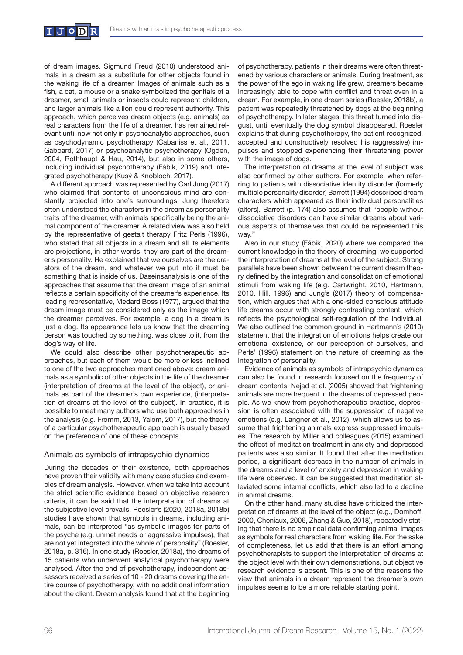

of dream images. Sigmund Freud (2010) understood animals in a dream as a substitute for other objects found in the waking life of a dreamer. Images of animals such as a fish, a cat, a mouse or a snake symbolized the genitals of a dreamer, small animals or insects could represent children, and larger animals like a lion could represent authority. This approach, which perceives dream objects (e.g. animals) as real characters from the life of a dreamer, has remained relevant until now not only in psychoanalytic approaches, such as psychodynamic psychotherapy (Cabaniss et al., 2011, Gabbard, 2017) or psychoanalytic psychotherapy (Ogden, 2004, Rothhaupt & Hau, 2014), but also in some others, including individual psychotherapy (Fábik, 2019) and integrated psychotherapy (Kusý & Knobloch, 2017).

A different approach was represented by Carl Jung (2017) who claimed that contents of unconscious mind are constantly projected into one's surroundings. Jung therefore often understood the characters in the dream as personality traits of the dreamer, with animals specifically being the animal component of the dreamer. A related view was also held by the representative of gestalt therapy Fritz Perls (1996), who stated that all objects in a dream and all its elements are projections, in other words, they are part of the dreamer's personality. He explained that we ourselves are the creators of the dream, and whatever we put into it must be something that is inside of us. Daseinsanalysis is one of the approaches that assume that the dream image of an animal reflects a certain specificity of the dreamer's experience. Its leading representative, Medard Boss (1977), argued that the dream image must be considered only as the image which the dreamer perceives. For example, a dog in a dream is just a dog. Its appearance lets us know that the dreaming person was touched by something, was close to it, from the dog's way of life.

We could also describe other psychotherapeutic approaches, but each of them would be more or less inclined to one of the two approaches mentioned above: dream animals as a symbolic of other objects in the life of the dreamer (interpretation of dreams at the level of the object), or animals as part of the dreamer's own experience, (interpretation of dreams at the level of the subject). In practice, it is possible to meet many authors who use both approaches in the analysis (e.g. Fromm, 2013, Yalom, 2017), but the theory of a particular psychotherapeutic approach is usually based on the preference of one of these concepts.

# Animals as symbols of intrapsychic dynamics

During the decades of their existence, both approaches have proven their validity with many case studies and examples of dream analysis. However, when we take into account the strict scientific evidence based on objective research criteria, it can be said that the interpretation of dreams at the subjective level prevails. Roesler's (2020, 2018a, 2018b) studies have shown that symbols in dreams, including animals, can be interpreted "as symbolic images for parts of the psyche (e.g. unmet needs or aggressive impulses), that are not yet integrated into the whole of personality" (Roesler, 2018a, p. 316). In one study (Roesler, 2018a), the dreams of 15 patients who underwent analytical psychotherapy were analysed. After the end of psychotherapy, independent assessors received a series of 10 - 20 dreams covering the entire course of psychotherapy, with no additional information about the client. Dream analysis found that at the beginning

of psychotherapy, patients in their dreams were often threatened by various characters or animals. During treatment, as the power of the ego in waking life grew, dreamers became increasingly able to cope with conflict and threat even in a dream. For example, in one dream series (Roesler, 2018b), a patient was repeatedly threatened by dogs at the beginning of psychotherapy. In later stages, this threat turned into disgust, until eventually the dog symbol disappeared. Roesler explains that during psychotherapy, the patient recognized, accepted and constructively resolved his (aggressive) impulses and stopped experiencing their threatening power with the image of dogs.

The interpretation of dreams at the level of subject was also confirmed by other authors. For example, when referring to patients with dissociative identity disorder (formerly multiple personality disorder) Barrett (1994) described dream characters which appeared as their individual personalities (alters). Barrett (p. 174) also assumes that "people without dissociative disorders can have similar dreams about various aspects of themselves that could be represented this way."

Also in our study (Fábik, 2020) where we compared the current knowledge in the theory of dreaming, we supported the interpretation of dreams at the level of the subject. Strong parallels have been shown between the current dream theory defined by the integration and consolidation of emotional stimuli from waking life (e.g. Cartwright, 2010, Hartmann, 2010, Hill, 1996) and Jung's (2017) theory of compensation, which argues that with a one-sided conscious attitude life dreams occur with strongly contrasting content, which reflects the psychological self-regulation of the individual. We also outlined the common ground in Hartmann's (2010) statement that the integration of emotions helps create our emotional existence, or our perception of ourselves, and Perls' (1996) statement on the nature of dreaming as the integration of personality.

Evidence of animals as symbols of intrapsychic dynamics can also be found in research focused on the frequency of dream contents. Nejad et al. (2005) showed that frightening animals are more frequent in the dreams of depressed people. As we know from psychotherapeutic practice, depression is often associated with the suppression of negative emotions (e.g. Langner et al., 2012), which allows us to assume that frightening animals express suppressed impulses. The research by Miller and colleagues (2015) examined the effect of meditation treatment in anxiety and depressed patients was also similar. It found that after the meditation period, a significant decrease in the number of animals in the dreams and a level of anxiety and depression in waking life were observed. It can be suggested that meditation alleviated some internal conflicts, which also led to a decline in animal dreams.

On the other hand, many studies have criticized the interpretation of dreams at the level of the object (e.g., Domhoff, 2000, Cheniaux, 2006, Zhang & Guo, 2018), repeatedly stating that there is no empirical data confirming animal images as symbols for real characters from waking life. For the sake of completeness, let us add that there is an effort among psychotherapists to support the interpretation of dreams at the object level with their own demonstrations, but objective research evidence is absent. This is one of the reasons the view that animals in a dream represent the dreamer´s own impulses seems to be a more reliable starting point.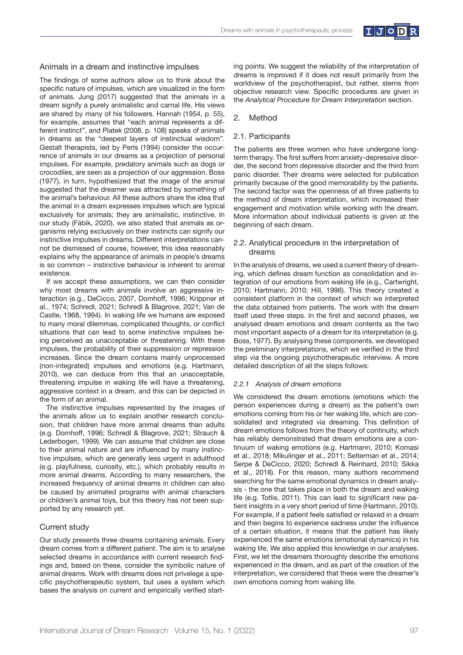

#### Animals in a dream and instinctive impulses

The findings of some authors allow us to think about the specific nature of impulses, which are visualized in the form of animals. Jung (2017) suggested that the animals in a dream signify a purely animalistic and carnal life. His views are shared by many of his followers. Hannah (1954, p. 55), for example, assumes that "each animal represents a different instinct", and Platek (2008, p. 108) speaks of animals in dreams as the "deepest layers of instinctual wisdom". Gestalt therapists, led by Perls (1994) consider the occurrence of animals in our dreams as a projection of personal impulses. For example, predatory animals such as dogs or crocodiles, are seen as a projection of our aggression. Boss (1977), in turn, hypothesized that the image of the animal suggested that the dreamer was attracted by something of the animal's behaviour. All these authors share the idea that the animal in a dream expresses impulses which are typical exclusively for animals; they are animalistic, instinctive. In our study (Fábik, 2020), we also stated that animals as organisms relying exclusively on their instincts can signify our instinctive impulses in dreams. Different interpretations cannot be dismissed of course, however, this idea reasonably explains why the appearance of animals in people's dreams is so common – instinctive behaviour is inherent to animal existence.

If we accept these assumptions, we can then consider why most dreams with animals involve an aggressive interaction (e.g., DeCicco, 2007, Domhoff, 1996; Krippner et al., 1974; Schredl, 2021; Schredl & Blagrove, 2021; Van de Castle, 1968, 1994). In waking life we humans are exposed to many moral dilemmas, complicated thoughts, or conflict situations that can lead to some instinctive impulses being perceived as unacceptable or threatening. With these impulses, the probability of their suppression or repression increases. Since the dream contains mainly unprocessed (non-integrated) impulses and emotions (e.g. Hartmann, 2010), we can deduce from this that an unacceptable, threatening impulse in waking life will have a threatening, aggressive context in a dream, and this can be depicted in the form of an animal.

The instinctive impulses represented by the images of the animals allow us to explain another research conclusion, that children have more animal dreams than adults (e.g. Domhoff, 1996; Schredl & Blagrove, 2021; Strauch & Lederbogen, 1999). We can assume that children are close to their animal nature and are influenced by many instinctive impulses, which are generally less urgent in adulthood (e.g. playfulness, curiosity, etc.), which probably results in more animal dreams. According to many researchers, the increased frequency of animal dreams in children can also be caused by animated programs with animal characters or children's animal toys, but this theory has not been supported by any research yet.

# Current study

Our study presents three dreams containing animals. Every dream comes from a different patient. The aim is to analyse selected dreams in accordance with current research findings and, based on these, consider the symbolic nature of animal dreams. Work with dreams does not privelege a specific psychotherapeutic system, but uses a system which bases the analysis on current and empirically verified starting points. We suggest the reliability of the interpretation of dreams is improved if it does not result primarily from the worldview of the psychotherapist, but rather, stems from objective research view. Specific procedures are given in the *Analytical Procedure for Dream Interpretation* section.

#### 2. Method

#### 2.1. Participants

The patients are three women who have undergone longterm therapy. The first suffers from anxiety-depressive disorder, the second from depressive disorder and the third from panic disorder. Their dreams were selected for publication primarily because of the good memorability by the patients. The second factor was the openness of all three patients to the method of dream interpretation, which increased their engagement and motivation while working with the dream. More information about individual patients is given at the beginning of each dream.

# 2.2. Analytical procedure in the interpretation of dreams

In the analysis of dreams, we used a current theory of dreaming, which defines dream function as consolidation and integration of our emotions from waking life (e.g., Cartwright, 2010; Hartmann, 2010; Hill, 1996). This theory created a consistent platform in the context of which we interpreted the data obtained from patients. The work with the dream itself used three steps. In the first and second phases, we analysed dream emotions and dream contents as the two most important aspects of a dream for its interpretation (e.g. Boss, 1977). By analysing these components, we developed the preliminary interpretations, which we verified in the third step via the ongoing psychotherapeutic interview. A more detailed description of all the steps follows:

#### *2.2.1 Analysis of dream emotions*

We considered the dream emotions (emotions which the person experiences during a dream) as the patient's own emotions coming from his or her waking life, which are consolidated and integrated via dreaming. This definition of dream emotions follows from the theory of continuity, which has reliably demonstrated that dream emotions are a continuum of waking emotions (e.g. Hartmann, 2010; Komasi et al., 2018; Mikulinger et al., 2011; Selterman et al., 2014; Serpe & DeCicco, 2020; Schredl & Reinhard, 2010; Sikka et al., 2018). For this reason, many authors recommend searching for the same emotional dynamics in dream analysis - the one that takes place in both the dream and waking life (e.g. Totlis, 2011). This can lead to significant new patient insights in a very short period of time (Hartmann, 2010). For example, if a patient feels satisfied or relaxed in a dream and then begins to experience sadness under the influence of a certain situation, it means that the patient has likely experienced the same emotions (emotional dynamics) in his waking life. We also applied this knowledge in our analyses. First, we let the dreamers thoroughly describe the emotions experienced in the dream, and as part of the creation of the interpretation, we considered that these were the dreamer's own emotions coming from waking life.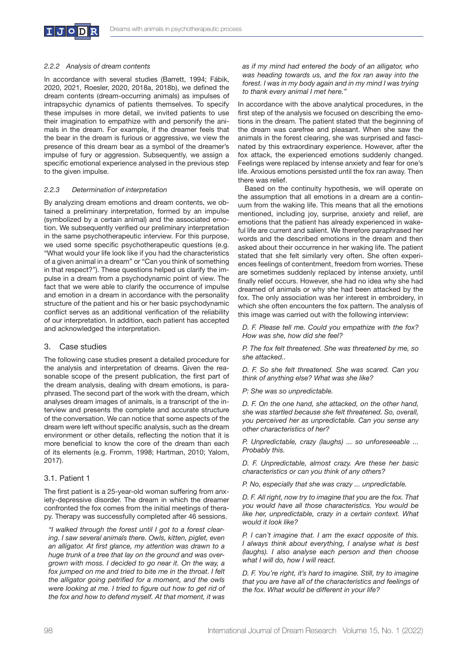

#### *2.2.2 Analysis of dream contents*

In accordance with several studies (Barrett, 1994; Fábik, 2020, 2021, Roesler, 2020, 2018a, 2018b), we defined the dream contents (dream-occurring animals) as impulses of intrapsychic dynamics of patients themselves. To specify these impulses in more detail, we invited patients to use their imagination to empathize with and personify the animals in the dream. For example, if the dreamer feels that the bear in the dream is furious or aggressive, we view the presence of this dream bear as a symbol of the dreamer's impulse of fury or aggression. Subsequently, we assign a specific emotional experience analysed in the previous step to the given impulse.

#### *2.2.3 Determination of interpretation*

By analyzing dream emotions and dream contents, we obtained a preliminary interpretation, formed by an impulse (symbolized by a certain animal) and the associated emotion. We subsequently verified our preliminary interpretation in the same psychotherapeutic interview. For this purpose, we used some specific psychotherapeutic questions (e.g. "What would your life look like if you had the characteristics of a given animal in a dream" or "Can you think of something in that respect?"). These questions helped us clarify the impulse in a dream from a psychodynamic point of view. The fact that we were able to clarify the occurrence of impulse and emotion in a dream in accordance with the personality structure of the patient and his or her basic psychodynamic conflict serves as an additional verification of the reliability of our interpretation. In addition, each patient has accepted and acknowledged the interpretation.

#### 3. Case studies

The following case studies present a detailed procedure for the analysis and interpretation of dreams. Given the reasonable scope of the present publication, the first part of the dream analysis, dealing with dream emotions, is paraphrased. The second part of the work with the dream, which analyses dream images of animals, is a transcript of the interview and presents the complete and accurate structure of the conversation. We can notice that some aspects of the dream were left without specific analysis, such as the dream environment or other details, reflecting the notion that it is more beneficial to know the core of the dream than each of its elements (e.g. Fromm, 1998; Hartman, 2010; Yalom, 2017).

#### 3.1. Patient 1

The first patient is a 25-year-old woman suffering from anxiety-depressive disorder. The dream in which the dreamer confronted the fox comes from the initial meetings of therapy. Therapy was successfully completed after 46 sessions.

*"I walked through the forest until I got to a forest clearing. I saw several animals there. Owls, kitten, piglet, even an alligator. At first glance, my attention was drawn to a huge trunk of a tree that lay on the ground and was overgrown with moss. I decided to go near it. On the way, a fox jumped on me and tried to bite me in the throat. I felt the alligator going petrified for a moment, and the owls were looking at me. I tried to figure out how to get rid of the fox and how to defend myself. At that moment, it was*  *as if my mind had entered the body of an alligator, who was heading towards us, and the fox ran away into the forest. I was in my body again and in my mind I was trying to thank every animal I met here."* 

In accordance with the above analytical procedures, in the first step of the analysis we focused on describing the emotions in the dream. The patient stated that the beginning of the dream was carefree and pleasant. When she saw the animals in the forest clearing, she was surprised and fascinated by this extraordinary experience. However, after the fox attack, the experienced emotions suddenly changed. Feelings were replaced by intense anxiety and fear for one's life. Anxious emotions persisted until the fox ran away. Then there was relief.

Based on the continuity hypothesis, we will operate on the assumption that all emotions in a dream are a continuum from the waking life. This means that all the emotions mentioned, including joy, surprise, anxiety and relief, are emotions that the patient has already experienced in wakeful life are current and salient. We therefore paraphrased her words and the described emotions in the dream and then asked about their occurrence in her waking life. The patient stated that she felt similarly very often. She often experiences feelings of contentment, freedom from worries. These are sometimes suddenly replaced by intense anxiety, until finally relief occurs. However, she had no idea why she had dreamed of animals or why she had been attacked by the fox. The only association was her interest in embroidery, in which she often encounters the fox pattern. The analysis of this image was carried out with the following interview:

*D. F. Please tell me. Could you empathize with the fox? How was she, how did she feel?*

*P. The fox felt threatened. She was threatened by me, so she attacked..*

*D. F. So she felt threatened. She was scared. Can you think of anything else? What was she like?*

*P: She was so unpredictable.*

*D. F. On the one hand, she attacked, on the other hand, she was startled because she felt threatened. So, overall, you perceived her as unpredictable. Can you sense any other characteristics of her?*

*P. Unpredictable, crazy (laughs) ... so unforeseeable ... Probably this.*

*D. F. Unpredictable, almost crazy. Are these her basic characteristics or can you think of any others?*

*P. No, especially that she was crazy ... unpredictable.*

*D. F. All right, now try to imagine that you are the fox. That you would have all those characteristics. You would be like her, unpredictable, crazy in a certain context. What would it look like?*

*P. I can't imagine that. I am the exact opposite of this. I always think about everything, I analyse what is best (laughs). I also analyse each person and then choose what I will do, how I will react.* 

*D. F. You're right, it's hard to imagine. Still, try to imagine that you are have all of the characteristics and feelings of the fox. What would be different in your life?*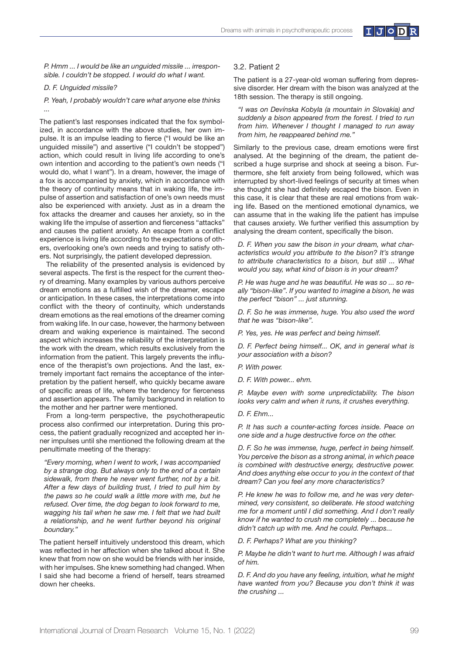

*P. Hmm ... I would be like an unguided missile ... irresponsible. I couldn't be stopped. I would do what I want.* 

#### *D. F. Unguided missile?*

*P. Yeah, I probably wouldn't care what anyone else thinks ...*

The patient's last responses indicated that the fox symbolized, in accordance with the above studies, her own impulse. It is an impulse leading to fierce ("I would be like an unguided missile") and assertive ("I couldn't be stopped") action, which could result in living life according to one's own intention and according to the patient's own needs ("I would do, what I want"). In a dream, however, the image of a fox is accompanied by anxiety, which in accordance with the theory of continuity means that in waking life, the impulse of assertion and satisfaction of one's own needs must also be experienced with anxiety. Just as in a dream the fox attacks the dreamer and causes her anxiety, so in the waking life the impulse of assertion and fierceness "attacks" and causes the patient anxiety. An escape from a conflict experience is living life according to the expectations of others, overlooking one's own needs and trying to satisfy others. Not surprisingly, the patient developed depression.

The reliability of the presented analysis is evidenced by several aspects. The first is the respect for the current theory of dreaming. Many examples by various authors perceive dream emotions as a fulfilled wish of the dreamer, escape or anticipation. In these cases, the interpretations come into conflict with the theory of continuity, which understands dream emotions as the real emotions of the dreamer coming from waking life. In our case, however, the harmony between dream and waking experience is maintained. The second aspect which increases the reliability of the interpretation is the work with the dream, which results exclusively from the information from the patient. This largely prevents the influence of the therapist's own projections. And the last, extremely important fact remains the acceptance of the interpretation by the patient herself, who quickly became aware of specific areas of life, where the tendency for fierceness and assertion appears. The family background in relation to the mother and her partner were mentioned.

From a long-term perspective, the psychotherapeutic process also confirmed our interpretation. During this process, the patient gradually recognized and accepted her inner impulses until she mentioned the following dream at the penultimate meeting of the therapy:

*"Every morning, when I went to work, I was accompanied by a strange dog. But always only to the end of a certain sidewalk, from there he never went further, not by a bit. After a few days of building trust, I tried to pull him by the paws so he could walk a little more with me, but he refused. Over time, the dog began to look forward to me, wagging his tail when he saw me. I felt that we had built a relationship, and he went further beyond his original boundary."* 

The patient herself intuitively understood this dream, which was reflected in her affection when she talked about it. She knew that from now on she would be friends with her inside, with her impulses. She knew something had changed. When I said she had become a friend of herself, tears streamed down her cheeks.

#### 3.2. Patient 2

The patient is a 27-year-old woman suffering from depressive disorder. Her dream with the bison was analyzed at the 18th session. The therapy is still ongoing.

*"I was on Devínska Kobyla (a mountain in Slovakia) and suddenly a bison appeared from the forest. I tried to run from him. Whenever I thought I managed to run away from him, he reappeared behind me."*

Similarly to the previous case, dream emotions were first analysed. At the beginning of the dream, the patient described a huge surprise and shock at seeing a bison. Furthermore, she felt anxiety from being followed, which was interrupted by short-lived feelings of security at times when she thought she had definitely escaped the bison. Even in this case, it is clear that these are real emotions from waking life. Based on the mentioned emotional dynamics, we can assume that in the waking life the patient has impulse that causes anxiety. We further verified this assumption by analysing the dream content, specifically the bison.

*D. F. When you saw the bison in your dream, what characteristics would you attribute to the bison? It's strange to attribute characteristics to a bison, but still ... What would you say, what kind of bison is in your dream?*

*P. He was huge and he was beautiful. He was so ... so really "bison-like". If you wanted to imagine a bison, he was the perfect "bison" ... just stunning.*

*D. F. So he was immense, huge. You also used the word that he was "bison-like".*

*P. Yes, yes. He was perfect and being himself.* 

*D. F. Perfect being himself... OK, and in general what is your association with a bison?*

*P. With power.*

*P. Maybe even with some unpredictability. The bison looks very calm and when it runs, it crushes everything.*

*D. F. Ehm...*

*P. It has such a counter-acting forces inside. Peace on one side and a huge destructive force on the other.*

*D. F. So he was immense, huge, perfect in being himself. You perceive the bison as a strong animal, in which peace is combined with destructive energy, destructive power. And does anything else occur to you in the context of that dream? Can you feel any more characteristics?*

*P. He knew he was to follow me, and he was very determined, very consistent, so deliberate. He stood watching me for a moment until I did something. And I don't really know if he wanted to crush me completely ... because he didn't catch up with me. And he could. Perhaps...*

*D. F. Perhaps? What are you thinking?*

*P. Maybe he didn't want to hurt me. Although I was afraid of him.*

*D. F. And do you have any feeling, intuition, what he might have wanted from you? Because you don't think it was the crushing ...*

*D. F. With power... ehm.*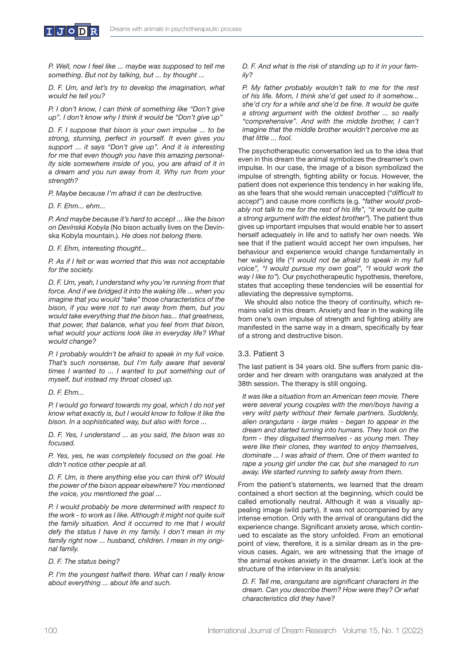

*P. Well, now I feel like ... maybe was supposed to tell me something. But not by talking, but ... by thought ...*

*D. F. Um, and let's try to develop the imagination, what would he tell you?*

*P. I don't know, I can think of something like "Don't give up". I don't know why I think it would be "Don't give up"*

*D. F. I suppose that bison is your own impulse ... to be strong, stunning, perfect in yourself. It even gives you support ... it says "Don't give up". And it is interesting for me that even though you have this amazing personality side somewhere inside of you, you are afraid of it in a dream and you run away from it. Why run from your strength?*

*P. Maybe because I'm afraid it can be destructive.* 

*D. F. Ehm... ehm...*

*P. And maybe because it's hard to accept ... like the bison on Devínská Kobyla* (No bison actually lives on the Devínska Kobyla mountain.)*. He does not belong there.* 

*D. F. Ehm, interesting thought...*

*P. As if I felt or was worried that this was not acceptable for the society.*

*D. F. Um, yeah, I understand why you're running from that force. And if we bridged it into the waking life ... when you imagine that you would "take" those characteristics of the bison, if you were not to run away from them, but you would take everything that the bison has... that greatness, that power, that balance, what you feel from that bison, what would your actions look like in everyday life? What would change?* 

*P. I probably wouldn't be afraid to speak in my full voice. That's such nonsense, but I'm fully aware that several times I wanted to ... I wanted to put something out of myself, but instead my throat closed up.*

*D. F. Ehm...*

*P. I would go forward towards my goal, which I do not yet know what exactly is, but I would know to follow it like the bison. In a sophisticated way, but also with force ...*

*D. F. Yes, I understand ... as you said, the bison was so focused.*

*P. Yes, yes, he was completely focused on the goal. He didn't notice other people at all.* 

*D. F. Um, is there anything else you can think of? Would the power of the bison appear elsewhere? You mentioned the voice, you mentioned the goal ...*

*P. I would probably be more determined with respect to the work - to work as I like. Although it might not quite suit the family situation. And it occurred to me that I would defy the status I have in my family. I don't mean in my family right now ... husband, children. I mean in my original family.*

#### *D. F. The status being?*

*P. I'm the youngest halfwit there. What can I really know about everything ... about life and such.*

*D. F. And what is the risk of standing up to it in your family?*

*P. My father probably wouldn't talk to me for the rest of his life. Mom, I think she'd get used to it somehow... she'd cry for a while and she'd be fine. It would be quite a strong argument with the oldest brother ... so really "comprehensive". And with the middle brother, I can't imagine that the middle brother wouldn't perceive me as that little ... fool.*

The psychotherapeutic conversation led us to the idea that even in this dream the animal symbolizes the dreamer's own impulse. In our case, the image of a bison symbolized the impulse of strength, fighting ability or focus. However, the patient does not experience this tendency in her waking life, as she fears that she would remain unaccepted ("*difficult to accept*") and cause more conflicts (e.g. *"father would probably not talk to me for the rest of his life", "it would be quite a strong argument with the eldest brother"*). The patient thus gives up important impulses that would enable her to assert herself adequately in life and to satisfy her own needs. We see that if the patient would accept her own impulses, her behaviour and experience would change fundamentally in her waking life (*"I would not be afraid to speak in my full voice", "I would pursue my own goal", "I would work the way I like to"*). Our psychotherapeutic hypothesis, therefore, states that accepting these tendencies will be essential for alleviating the depressive symptoms.

We should also notice the theory of continuity, which remains valid in this dream. Anxiety and fear in the waking life from one's own impulse of strength and fighting ability are manifested in the same way in a dream, specifically by fear of a strong and destructive bison.

# 3.3. Patient 3

The last patient is 34 years old. She suffers from panic disorder and her dream with orangutans was analyzed at the 38th session. The therapy is still ongoing.

*It was like a situation from an American teen movie. There were several young couples with the men/boys having a very wild party without their female partners. Suddenly, alien orangutans - large males - began to appear in the dream and started turning into humans. They took on the form - they disguised themselves - as young men. They were like their clones, they wanted to enjoy themselves, dominate ... I was afraid of them. One of them wanted to rape a young girl under the car, but she managed to run away. We started running to safety away from them.*

From the patient's statements, we learned that the dream contained a short section at the beginning, which could be called emotionally neutral. Although it was a visually appealing image (wild party), it was not accompanied by any intense emotion. Only with the arrival of orangutans did the experience change. Significant anxiety arose, which continued to escalate as the story unfolded. From an emotional point of view, therefore, it is a similar dream as in the previous cases. Again, we are witnessing that the image of the animal evokes anxiety in the dreamer. Let's look at the structure of the interview in its analysis:

*D. F. Tell me, orangutans are significant characters in the dream. Can you describe them? How were they? Or what characteristics did they have?*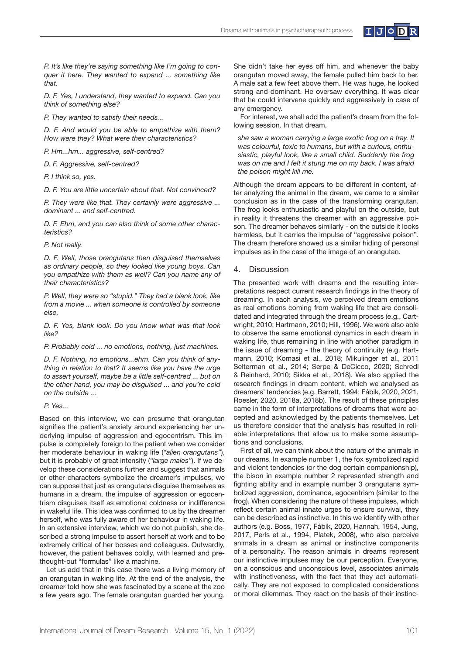

*P. It's like they're saying something like I'm going to conquer it here. They wanted to expand ... something like that.*

*D. F. Yes, I understand, they wanted to expand. Can you think of something else?*

*P. They wanted to satisfy their needs...*

*D. F. And would you be able to empathize with them? How were they? What were their characteristics?*

*P. Hm...hm... aggressive, self-centred?*

*D. F. Aggressive, self-centred?*

*P. I think so, yes.*

*D. F. You are little uncertain about that. Not convinced?*

*P. They were like that. They certainly were aggressive ... dominant ... and self-centred.*

*D. F. Ehm, and you can also think of some other characteristics?*

#### *P. Not really.*

*D. F. Well, those orangutans then disguised themselves as ordinary people, so they looked like young boys. Can you empathize with them as well? Can you name any of their characteristics?*

*P. Well, they were so "stupid." They had a blank look, like from a movie ... when someone is controlled by someone else.* 

*D. F. Yes, blank look. Do you know what was that look like?*

*P. Probably cold ... no emotions, nothing, just machines.*

*D. F. Nothing, no emotions...ehm. Can you think of anything in relation to that? It seems like you have the urge to assert yourself, maybe be a little self-centred ... but on the other hand, you may be disguised ... and you're cold on the outside ...* 

#### *P. Yes...*

Based on this interview, we can presume that orangutan signifies the patient's anxiety around experiencing her underlying impulse of aggression and egocentrism. This impulse is completely foreign to the patient when we consider her moderate behaviour in waking life (*"alien orangutans"*), but it is probably of great intensity (*"large males"*). If we develop these considerations further and suggest that animals or other characters symbolize the dreamer's impulses, we can suppose that just as orangutans disguise themselves as humans in a dream, the impulse of aggression or egocentrism disguises itself as emotional coldness or indifference in wakeful life. This idea was confirmed to us by the dreamer herself, who was fully aware of her behaviour in waking life. In an extensive interview, which we do not publish, she described a strong impulse to assert herself at work and to be extremely critical of her bosses and colleagues. Outwardly, however, the patient behaves coldly, with learned and prethought-out "formulas" like a machine.

Let us add that in this case there was a living memory of an orangutan in waking life. At the end of the analysis, the dreamer told how she was fascinated by a scene at the zoo a few years ago. The female orangutan guarded her young.

She didn't take her eyes off him, and whenever the baby orangutan moved away, the female pulled him back to her. A male sat a few feet above them. He was huge, he looked strong and dominant. He oversaw everything. It was clear that he could intervene quickly and aggressively in case of any emergency.

For interest, we shall add the patient's dream from the following session. In that dream,

*she saw a woman carrying a large exotic frog on a tray. It was colourful, toxic to humans, but with a curious, enthusiastic, playful look, like a small child. Suddenly the frog was on me and I felt it stung me on my back. I was afraid the poison might kill me.* 

Although the dream appears to be different in content, after analyzing the animal in the dream, we came to a similar conclusion as in the case of the transforming orangutan. The frog looks enthusiastic and playful on the outside, but in reality it threatens the dreamer with an aggressive poison. The dreamer behaves similarly - on the outside it looks harmless, but it carries the impulse of "aggressive poison". The dream therefore showed us a similar hiding of personal impulses as in the case of the image of an orangutan.

## 4. Discussion

The presented work with dreams and the resulting interpretations respect current research findings in the theory of dreaming. In each analysis, we perceived dream emotions as real emotions coming from waking life that are consolidated and integrated through the dream process (e.g., Cartwright, 2010; Hartmann, 2010; Hill, 1996). We were also able to observe the same emotional dynamics in each dream in waking life, thus remaining in line with another paradigm in the issue of dreaming - the theory of continuity (e.g. Hartmann, 2010; Komasi et al., 2018; Mikulinger et al., 2011 Selterman et al., 2014; Serpe & DeCicco, 2020; Schredl & Reinhard, 2010; Sikka et al., 2018). We also applied the research findings in dream content, which we analysed as dreamers' tendencies (e.g. Barrett, 1994; Fábik, 2020, 2021, Roesler, 2020, 2018a, 2018b). The result of these principles came in the form of interpretations of dreams that were accepted and acknowledged by the patients themselves. Let us therefore consider that the analysis has resulted in reliable interpretations that allow us to make some assumptions and conclusions.

First of all, we can think about the nature of the animals in our dreams. In example number 1, the fox symbolized rapid and violent tendencies (or the dog certain companionship), the bison in example number 2 represented strength and fighting ability and in example number 3 orangutans symbolized aggression, dominance, egocentrism (similar to the frog). When considering the nature of these impulses, which reflect certain animal innate urges to ensure survival, they can be described as instinctive. In this we identify with other authors (e.g. Boss, 1977, Fábik, 2020, Hannah, 1954, Jung, 2017, Perls et al., 1994, Platek, 2008), who also perceive animals in a dream as animal or instinctive components of a personality. The reason animals in dreams represent our instinctive impulses may be our perception. Everyone, on a conscious and unconscious level, associates animals with instinctiveness, with the fact that they act automatically. They are not exposed to complicated considerations or moral dilemmas. They react on the basis of their instinc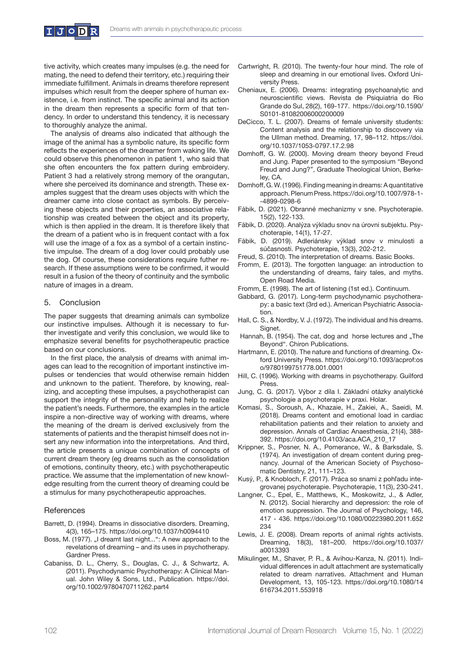tive activity, which creates many impulses (e.g. the need for mating, the need to defend their territory, etc.) requiring their immediate fulfillment. Animals in dreams therefore represent impulses which result from the deeper sphere of human existence, i.e. from instinct. The specific animal and its action in the dream then represents a specific form of that tendency. In order to understand this tendency, it is necessary to thoroughly analyze the animal.

The analysis of dreams also indicated that although the image of the animal has a symbolic nature, its specific form reflects the experiences of the dreamer from waking life. We could observe this phenomenon in patient 1, who said that she often encounters the fox pattern during embroidery. Patient 3 had a relatively strong memory of the orangutan, where she perceived its dominance and strength. These examples suggest that the dream uses objects with which the dreamer came into close contact as symbols. By perceiving these objects and their properties, an associative relationship was created between the object and its property, which is then applied in the dream. It is therefore likely that the dream of a patient who is in frequent contact with a fox will use the image of a fox as a symbol of a certain instinctive impulse. The dream of a dog lover could probably use the dog. Of course, these considerations require futher research. If these assumptions were to be confirmed, it would result in a fusion of the theory of continuity and the symbolic nature of images in a dream.

#### 5. Conclusion

The paper suggests that dreaming animals can symbolize our instinctive impulses. Although it is necessary to further investigate and verify this conclusion, we would like to emphasize several benefits for psychotherapeutic practice based on our conclusions.

In the first place, the analysis of dreams with animal images can lead to the recognition of important instinctive impulses or tendencies that would otherwise remain hidden and unknown to the patient. Therefore, by knowing, realizing, and accepting these impulses, a psychotherapist can support the integrity of the personality and help to realize the patient's needs. Furthermore, the examples in the article inspire a non-directive way of working with dreams, where the meaning of the dream is derived exclusively from the statements of patients and the therapist himself does not insert any new information into the interpretations. And third, the article presents a unique combination of concepts of current dream theory (eg dreams such as the consolidation of emotions, continuity theory, etc.) with psychotherapeutic practice. We assume that the implementation of new knowledge resulting from the current theory of dreaming could be a stimulus for many psychotherapeutic approaches.

#### **References**

- Barrett, D. (1994). Dreams in dissociative disorders. Dreaming, 4(3), 165–175. https://doi.org/10.1037/h0094410
- Boss, M. (1977). "I dreamt last night...": A new approach to the revelations of dreaming – and its uses in psychotherapy. Gardner Press.
- Cabaniss, D. L., Cherry, S., Douglas, C. J., & Schwartz, A. (2011). Psychodynamic Psychotherapy: A Clinical Manual. John Wiley & Sons, Ltd., Publication. https://doi. org/10.1002/9780470711262.part4
- Cartwright, R. (2010). The twenty-four hour mind. The role of sleep and dreaming in our emotional lives. Oxford University Press.
- Cheniaux, E. (2006). Dreams: integrating psychoanalytic and neuroscientific views. Revista de Psiquiatria do Rio Grande do Sul, 28(2), 169-177. https://doi.org/10.1590/ S0101-81082006000200009
- DeCicco, T. L. (2007). Dreams of female university students: Content analysis and the relationship to discovery via the Ullman method. Dreaming, 17, 98–112. https://doi. org/10.1037/1053-0797.17.2.98
- Domhoff, G. W. (2000). Moving dream theory beyond Freud and Jung. Paper presented to the symposium "Beyond Freud and Jung?", Graduate Theological Union, Berkeley, CA.
- Domhoff, G. W. (1996). Finding meaning in dreams: A quantitative approach. Plenum Press. https://doi.org/10.1007/978-1- -4899-0298-6
- Fábik, D. (2021). Obranné mechanizmy v sne. Psychoterapie. 15(2), 122-133.
- Fábik, D. (2020). Analýza výkladu snov na úrovni subjektu. Psychoterapie, 14(1), 17-27.
- Fábik, D. (2019). Adleriánsky výklad snov v minulosti a súčasnosti. Psychoterapie, 13(3), 202-212.
- Freud, S. (2010). The interpretation of dreams. Basic Books.
- Fromm, E. (2013). The forgotten language: an introduction to the understanding of dreams, fairy tales, and myths. Open Road Media.
- Fromm, E. (1998). The art of listening (1st ed.). Continuum.
- Gabbard, G. (2017). Long-term psychodynamic psychotherapy: a basic text (3rd ed.). American Psychiatric Association.
- Hall, C. S., & Nordby, V. J. (1972). The individual and his dreams. Signet.
- Hannah, B. (1954). The cat, dog and horse lectures and "The Beyond". Chiron Publications.
- Hartmann, E. (2010). The nature and functions of dreaming. Oxford University Press. https://doi.org/10.1093/acprof:os o/9780199751778.001.0001
- Hill, C. (1996). Working with dreams in psychotherapy. Guilford Press.
- Jung, C. G. (2017). Výbor z díla I. Základní otázky analytické psychologie a psychoterapie v praxi. Holar.
- Komasi, S., Soroush, A., Khazaie, H., Zakiei, A., Saeidi, M. (2018). Dreams content and emotional load in cardiac rehabilitation patients and their relation to anxiety and depression. Annals of Cardiac Anaesthesia, 21(4), 388- 392. https://doi.org/10.4103/aca.ACA\_210\_17
- Krippner, S., Posner, N. A., Pomerance, W., & Barksdale, S. (1974). An investigation of dream content during pregnancy. Journal of the American Society of Psychosomatic Dentistry, 21, 111–123.
- Kusý, P., & Knobloch, F. (2017). Práca so snami z pohľadu integrovanej psychoterapie. Psychoterapie, 11(3), 230-241.
- Langner, C., Epel, E., Matthews, K., Moskowitz, J., & Adler, N. (2012). Social hierarchy and depression: the role of emotion suppression. The Journal of Psychology, 146, 417 - 436. https://doi.org/10.1080/00223980.2011.652 234
- Lewis, J. E. (2008). Dream reports of animal rights activists. Dreaming, 18(3), 181–200. https://doi.org/10.1037/ a0013393
- Mikulinger, M., Shaver, P. R., & Avihou-Kanza, N. (2011). Individual differences in adult attachment are systematically related to dream narratives. Attachment and Human Development, 13, 105-123. https://doi.org/10.1080/14 616734.2011.553918